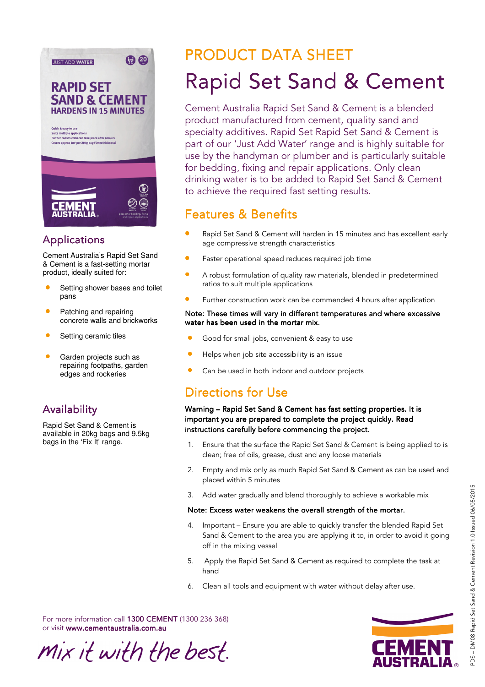

## Applications Applications

Cement Australia's Rapid Set Sand & Cement is a fast-setting mortar product, ideally suited for:

- Setting shower bases and toilet pans
- Patching and repairing concrete walls and brickworks
- Setting ceramic tiles
- Garden projects such as repairing footpaths, garden edges and rockeries

## Availability Availability

Rapid Set Sand & Cement is available in 20kg bags and 9.5kg bags in the 'Fix It' range.

# **PRODUCT DATA SHEET** Rapid Set Sand & Cement

Cement Australia Rapid Set Sand & Cement is a blended product manufactured from cement, quality sand and specialty additives. Rapid Set Rapid Set Sand & Cement is part of our 'Just Add Water' range and is highly suitable for use by the handyman or plumber and is particularly suitable for bedding, fixing and repair applications. Only clean drinking water is to be added to Rapid Set Sand & Cement to achieve the required fast setting results.

## Features & Benefits &

- Rapid Set Sand & Cement will harden in 15 minutes and has excellent early age compressive strength characteristics
- Faster operational speed reduces required job time
- A robust formulation of quality raw materials, blended in predetermined ratios to suit multiple applications
- Further construction work can be commended 4 hours after application

#### Note: These times will vary in different temperatures and where excessive water has been used in the mortar mix.

- Good for small jobs, convenient & easy to use
- Helps when job site accessibility is an issue
- Can be used in both indoor and outdoor projects

# Directions for Use

Warning – Rapid Set Sand & Cement has fast setting properties. It is important you are prepared to complete the project quickly. Read instructions carefully before commencing the project.

- 1. Ensure that the surface the Rapid Set Sand & Cement is being applied to is clean; free of oils, grease, dust and any loose materials
- 2. Empty and mix only as much Rapid Set Sand & Cement as can be used and placed within 5 minutes
- 3. Add water gradually and blend thoroughly to achieve a workable mix

#### Note: Excess water weakens the overall strength of the mortar.

- 4. Important Ensure you are able to quickly transfer the blended Rapid Set Sand & Cement to the area you are applying it to, in order to avoid it going off in the mixing vessel
- 5. Apply the Rapid Set Sand & Cement as required to complete the task at hand
- 6. Clean all tools and equipment with water without delay after use.

For more information call 1300 CEMENT (1300 236 368) or visit www.cementaustralia.com.au

Mix it with the best.